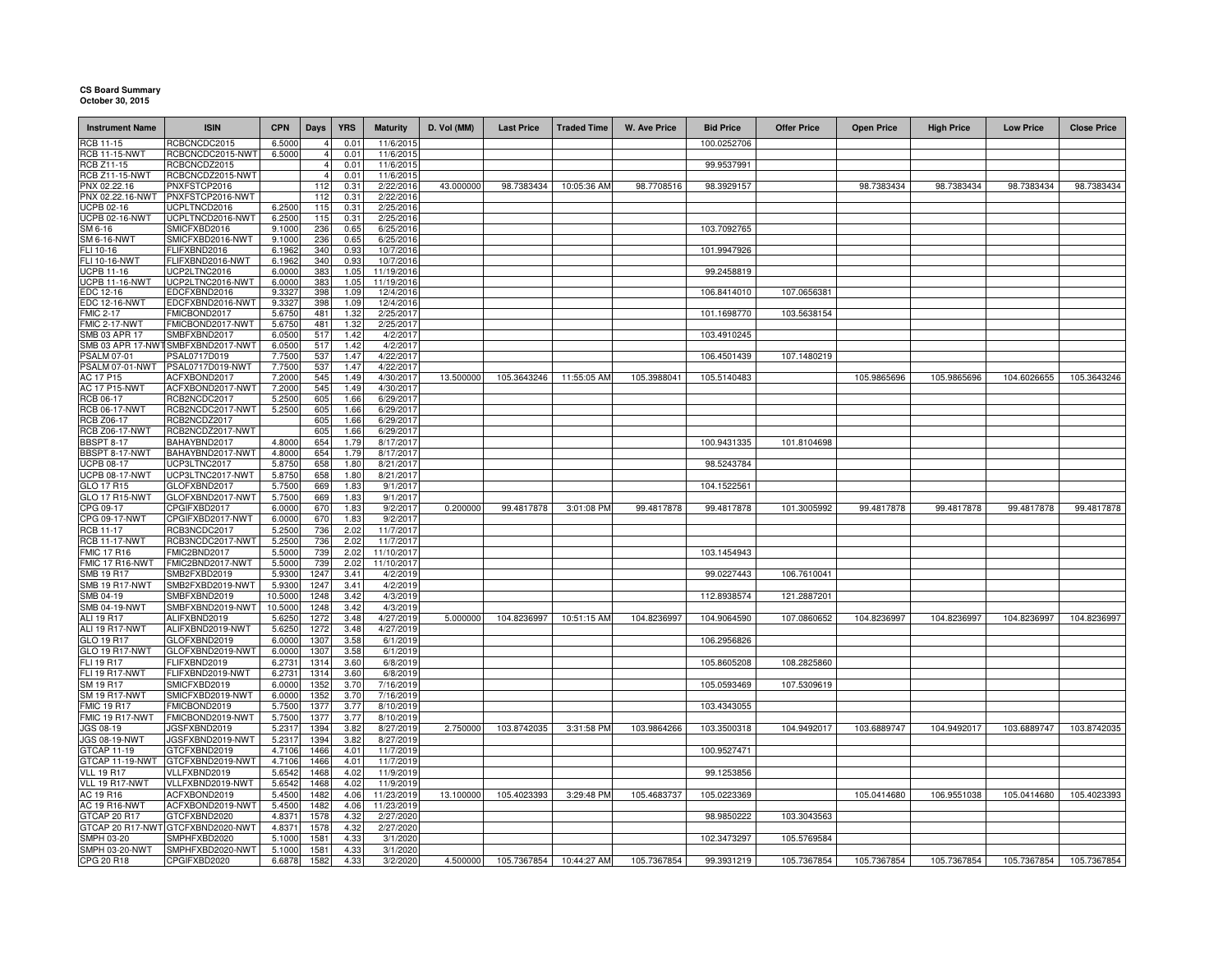## **CS Board Summary October 30, 2015**

| <b>Instrument Name</b>                     | <b>ISIN</b>                       | <b>CPN</b>         | Days         | <b>YRS</b>   | <b>Maturity</b>        | D. Vol (MM) | <b>Last Price</b>       | <b>Traded Time</b> | W. Ave Price | <b>Bid Price</b> | <b>Offer Price</b> | <b>Open Price</b> | <b>High Price</b> | <b>Low Price</b> | <b>Close Price</b> |
|--------------------------------------------|-----------------------------------|--------------------|--------------|--------------|------------------------|-------------|-------------------------|--------------------|--------------|------------------|--------------------|-------------------|-------------------|------------------|--------------------|
| <b>RCB 11-15</b>                           | RCBCNCDC2015                      | 6.5000             |              | 0.01         | 11/6/2015              |             |                         |                    |              | 100.0252706      |                    |                   |                   |                  |                    |
| <b>RCB 11-15-NWT</b>                       | RCBCNCDC2015-NWT                  | 6.5000             |              | 0.01         | 11/6/2015              |             |                         |                    |              |                  |                    |                   |                   |                  |                    |
| RCB Z11-15                                 | RCBCNCDZ2015                      |                    |              | 0.01         | 11/6/2015              |             |                         |                    |              | 99.9537991       |                    |                   |                   |                  |                    |
| <b>RCB Z11-15-NWT</b>                      | RCBCNCDZ2015-NWT                  |                    |              | 0.01         | 11/6/2015              |             |                         |                    |              |                  |                    |                   |                   |                  |                    |
| PNX 02.22.16                               | PNXFSTCP2016                      |                    | 112          | 0.31         | 2/22/2016              | 43.000000   | 98.7383434              | 10:05:36 AM        | 98.7708516   | 98.3929157       |                    | 98.7383434        | 98.7383434        | 98.7383434       | 98.7383434         |
| PNX 02.22.16-NWT                           | PNXFSTCP2016-NWT                  |                    | 112          | 0.31         | 2/22/2016              |             |                         |                    |              |                  |                    |                   |                   |                  |                    |
| <b>UCPB 02-16</b>                          | UCPLTNCD2016                      | 6.2500             | 115          | 0.31         | 2/25/2016              |             |                         |                    |              |                  |                    |                   |                   |                  |                    |
| <b>ICPB 02-16-NWT</b><br>SM 6-16           | UCPLTNCD2016-NWT<br>SMICFXBD2016  | 6.2500<br>9.1000   | 115<br>236   | 0.31<br>0.65 | 2/25/2016<br>6/25/2016 |             |                         |                    |              | 103.7092765      |                    |                   |                   |                  |                    |
| <b>SM 6-16-NWT</b>                         | SMICFXBD2016-NWT                  | 9.1000             | 236          | 0.65         | 6/25/2016              |             |                         |                    |              |                  |                    |                   |                   |                  |                    |
| FLI 10-16                                  | FLIFXBND2016                      | 6.1962             | 340          | 0.93         | 10/7/2016              |             |                         |                    |              | 101.9947926      |                    |                   |                   |                  |                    |
| FLI 10-16-NWT                              | FLIFXBND2016-NWT                  | 6.1962             | 340          | 0 9:         | 10/7/2016              |             |                         |                    |              |                  |                    |                   |                   |                  |                    |
| JCPB 11-16                                 | UCP2LTNC2016                      | 6.0000             | 383          | 1.05         | 11/19/2016             |             |                         |                    |              | 99.2458819       |                    |                   |                   |                  |                    |
| ICPB 11-16-NWT                             | UCP2LTNC2016-NWT                  | 6.0000             | 383          | 1.05         | 11/19/2016             |             |                         |                    |              |                  |                    |                   |                   |                  |                    |
| EDC 12-16                                  | EDCFXBND2016                      | 9.3327             | 398          | 1.09         | 12/4/2016              |             |                         |                    |              | 106.8414010      | 107.0656381        |                   |                   |                  |                    |
| <b>EDC 12-16-NWT</b>                       | EDCFXBND2016-NWT                  | 9.3327             | 398          | 1.09         | 12/4/2016              |             |                         |                    |              |                  |                    |                   |                   |                  |                    |
| <b>FMIC 2-17</b>                           | FMICBOND2017                      | 5.6750             | 481          | 1.32         | 2/25/2017              |             |                         |                    |              | 101.1698770      | 103.5638154        |                   |                   |                  |                    |
| FMIC 2-17-NWT<br>SMB 03 APR 17             | FMICBOND2017-NWT<br>SMBFXBND2017  | 5.6750<br>6.0500   | 481<br>517   | 1.32<br>1.42 | 2/25/2017<br>4/2/2017  |             |                         |                    |              | 103.4910245      |                    |                   |                   |                  |                    |
| SMB 03 APR 17-NW                           | SMBFXBND2017-NWT                  | 6.0500             | 517          | 1.42         | 4/2/2017               |             |                         |                    |              |                  |                    |                   |                   |                  |                    |
| <b>PSALM 07-01</b>                         | PSAL0717D019                      | 7.7500             | 537          | 1.47         | 4/22/2017              |             |                         |                    |              | 106.4501439      | 107.1480219        |                   |                   |                  |                    |
| PSALM 07-01-NWT                            | PSAL0717D019-NWT                  | 7.7500             | 537          | 1.47         | 4/22/2017              |             |                         |                    |              |                  |                    |                   |                   |                  |                    |
| AC 17 P15                                  | ACFXBOND2017                      | 7.2000             | 545          | 1.49         | 4/30/2017              | 13.500000   | 105.3643246             | 11:55:05 AM        | 105.3988041  | 105.5140483      |                    | 105.9865696       | 105.9865696       | 104.6026655      | 105.3643246        |
| <b>AC 17 P15-NWT</b>                       | ACFXBOND2017-NWT                  | 7.2000             | 545          | 1.49         | 4/30/2017              |             |                         |                    |              |                  |                    |                   |                   |                  |                    |
| RCB 06-17                                  | RCB2NCDC2017                      | 5.2500             | 605          | 1.66         | 6/29/2017              |             |                         |                    |              |                  |                    |                   |                   |                  |                    |
| <b>RCB 06-17-NWT</b>                       | RCB2NCDC2017-NWT                  | 5.2500             | 605          | 1.66         | 6/29/2017              |             |                         |                    |              |                  |                    |                   |                   |                  |                    |
| <b>RCB Z06-17</b>                          | RCB2NCDZ2017                      |                    | 605          | 1.66         | 6/29/2017              |             |                         |                    |              |                  |                    |                   |                   |                  |                    |
| <b>RCB Z06-17-NWT</b><br><b>BBSPT 8-17</b> | RCB2NCDZ2017-NWT<br>BAHAYBND2017  | 4.8000             | 605<br>654   | 1.66<br>1.79 | 6/29/2017<br>8/17/2017 |             |                         |                    |              | 100.9431335      | 101.8104698        |                   |                   |                  |                    |
| BBSPT 8-17-NWT                             | BAHAYBND2017-NWT                  | 4.8000             | 654          | 1.79         | 8/17/2017              |             |                         |                    |              |                  |                    |                   |                   |                  |                    |
| <b>UCPB 08-17</b>                          | UCP3LTNC2017                      | 5.8750             | 658          | 1.80         | 8/21/2017              |             |                         |                    |              | 98.5243784       |                    |                   |                   |                  |                    |
| <b>UCPB 08-17-NWT</b>                      | UCP3LTNC2017-NWT                  | 5.8750             | 658          | 1.80         | 8/21/2017              |             |                         |                    |              |                  |                    |                   |                   |                  |                    |
| GLO 17 R15                                 | GLOFXBND2017                      | 5.7500             | 669          | 1.83         | 9/1/2017               |             |                         |                    |              | 104.1522561      |                    |                   |                   |                  |                    |
| <b>GLO 17 R15-NWT</b>                      | GLOFXBND2017-NWT                  | 5.7500             | 669          | 1.83         | 9/1/2017               |             |                         |                    |              |                  |                    |                   |                   |                  |                    |
| CPG 09-17                                  | CPGIFXBD2017                      | 6.0000             | 670          | 1.83         | 9/2/2017               | 0.200000    | 99.4817878              | 3:01:08 PM         | 99.4817878   | 99.4817878       | 101.3005992        | 99.4817878        | 99.4817878        | 99.4817878       | 99.4817878         |
| CPG 09-17-NWT                              | CPGIFXBD2017-NWT                  | 6.0000             | 670          | 1.83         | 9/2/2017               |             |                         |                    |              |                  |                    |                   |                   |                  |                    |
| RCB 11-17                                  | RCB3NCDC2017                      | 5.2500             | 736          | 2.02         | 11/7/2017              |             |                         |                    |              |                  |                    |                   |                   |                  |                    |
| <b>RCB 11-17-NWT</b>                       | RCB3NCDC2017-NWT                  | 5.2500             | 736          | 2.02         | 11/7/2017              |             |                         |                    |              |                  |                    |                   |                   |                  |                    |
| <b>FMIC 17 R16</b>                         | FMIC2BND2017                      | 5.5000             | 739          | 2.02         | 11/10/2017             |             |                         |                    |              | 103.1454943      |                    |                   |                   |                  |                    |
| FMIC 17 R16-NWT                            | FMIC2BND2017-NWT                  | 5.5000             | 739          | 2.02         | 11/10/2017             |             |                         |                    |              |                  |                    |                   |                   |                  |                    |
| <b>SMB 19 R17</b>                          | SMB2FXBD2019                      | 5.9300             | 1247         | 3.41         | 4/2/2019               |             |                         |                    |              | 99.0227443       | 106.7610041        |                   |                   |                  |                    |
| <b>SMB 19 R17-NWT</b>                      | SMB2FXBD2019-NWT                  | 5.9300             | 1247         | 3.41         | 4/2/2019               |             |                         |                    |              |                  |                    |                   |                   |                  |                    |
| SMB 04-19<br><b>SMB 04-19-NWT</b>          | SMBFXBND2019<br>SMBFXBND2019-NWT  | 10.5000<br>10.5000 | 1248<br>1248 | 3.42<br>3.42 | 4/3/2019<br>4/3/2019   |             |                         |                    |              | 112.8938574      | 121.2887201        |                   |                   |                  |                    |
| ALI 19 R17                                 | ALIFXBND2019                      | 5.6250             | 1272         | 3.48         | 4/27/2019              | 5.000000    | 104.8236997             | 10:51:15 AM        | 104.8236997  | 104.9064590      | 107.0860652        | 104.8236997       | 104.8236997       | 104.8236997      | 104.8236997        |
| ALI 19 R17-NWT                             | ALIFXBND2019-NWT                  | 5.6250             | 1272         | 3.48         | 4/27/2019              |             |                         |                    |              |                  |                    |                   |                   |                  |                    |
| GLO 19 R17                                 | GLOFXBND2019                      | 6.0000             | 1307         | 3.58         | 6/1/2019               |             |                         |                    |              | 106.2956826      |                    |                   |                   |                  |                    |
| GLO 19 R17-NWT                             | GLOFXBND2019-NWT                  | 6.0000             | 1307         | 3.58         | 6/1/2019               |             |                         |                    |              |                  |                    |                   |                   |                  |                    |
| FLI 19 R17                                 | FLIFXBND2019                      | 6.2731             | 1314         | 3.60         | 6/8/2019               |             |                         |                    |              | 105.8605208      | 108.2825860        |                   |                   |                  |                    |
| <b>FLI 19 R17-NWT</b>                      | FLIFXBND2019-NWT                  | 6.2731             | 1314         | 3.60         | 6/8/2019               |             |                         |                    |              |                  |                    |                   |                   |                  |                    |
| SM 19 R17                                  | SMICFXBD2019                      | 6.0000             | 1352         | 3.70         | 7/16/2019              |             |                         |                    |              | 105.0593469      | 107.5309619        |                   |                   |                  |                    |
| <b>SM 19 R17-NWT</b>                       | SMICFXBD2019-NWT                  | 6.0000             | 1352         | 3.70         | 7/16/2019              |             |                         |                    |              |                  |                    |                   |                   |                  |                    |
| <b>FMIC 19 R17</b>                         | FMICBOND2019                      | 5.7500             | 1377         | 3.77         | 8/10/2019              |             |                         |                    |              | 103.4343055      |                    |                   |                   |                  |                    |
| FMIC 19 R17-NWT                            | FMICBOND2019-NWT                  | 5.7500             | 1377         | 3.77         | 8/10/2019              |             |                         |                    |              |                  |                    |                   |                   |                  |                    |
| <b>JGS 08-19</b>                           | JGSFXBND2019                      | 5.2317             | 1394         | 3.82         | 8/27/2019              | 2.750000    | 103.8742035             | 3:31:58 PM         | 103.9864266  | 103.3500318      | 104.9492017        | 103.6889747       | 104.9492017       | 103.6889747      | 103.8742035        |
| JGS 08-19-NWT                              | JGSFXBND2019-NWT                  | 5.2317             | 1394         | 3.82         | 8/27/2019              |             |                         |                    |              |                  |                    |                   |                   |                  |                    |
| GTCAP 11-19                                | GTCFXBND2019                      | 4.7106             | 1466<br>1466 | 4.01         | 11/7/2019<br>11/7/2019 |             |                         |                    |              | 100.9527471      |                    |                   |                   |                  |                    |
| GTCAP 11-19-NWT<br><b>VLL 19 R17</b>       | GTCFXBND2019-NWT<br>VLLFXBND2019  | 4.7106<br>5.6542   | 1468         | 4.01<br>4.02 | 11/9/2019              |             |                         |                    |              | 99.1253856       |                    |                   |                   |                  |                    |
| VLL 19 R17-NWT                             | VLLFXBND2019-NWT                  | 5.6542             | 1468         | 4.02         | 11/9/2019              |             |                         |                    |              |                  |                    |                   |                   |                  |                    |
| AC 19 R16                                  | ACFXBOND2019                      | 5.4500             | 1482         | 4.06         | 11/23/2019             | 13.100000   | 105.4023393             | 3:29:48 PM         | 105.4683737  | 105.0223369      |                    | 105.0414680       | 106.9551038       | 105.0414680      | 105.4023393        |
| AC 19 R16-NWT                              | ACFXBOND2019-NW                   | 5.4500             | 1482         | 4.06         | 11/23/2019             |             |                         |                    |              |                  |                    |                   |                   |                  |                    |
| GTCAP 20 R17                               | GTCFXBND2020                      | 4.8371             | 1578         | 4.32         | 2/27/2020              |             |                         |                    |              | 98.9850222       | 103.3043563        |                   |                   |                  |                    |
|                                            | GTCAP 20 R17-NWT GTCFXBND2020-NWT | 4.8371             | 1578         | 4.32         | 2/27/2020              |             |                         |                    |              |                  |                    |                   |                   |                  |                    |
| SMPH 03-20                                 | SMPHFXBD2020                      | 5.1000             | 1581         | 4.33         | 3/1/2020               |             |                         |                    |              | 102.3473297      | 105.5769584        |                   |                   |                  |                    |
| SMPH 03-20-NWT                             | SMPHFXBD2020-NWT                  | 5.1000             | 1581         | 4.33         | 3/1/2020               |             |                         |                    |              |                  |                    |                   |                   |                  |                    |
| CPG 20 R18                                 | CPGIFXBD2020                      | 6.6878             | 1582         | 4.33         | 3/2/2020               | 4.500000    | 105.7367854 10:44:27 AM |                    | 105.7367854  | 99.3931219       | 105.7367854        | 105.7367854       | 105.7367854       | 105.7367854      | 105.7367854        |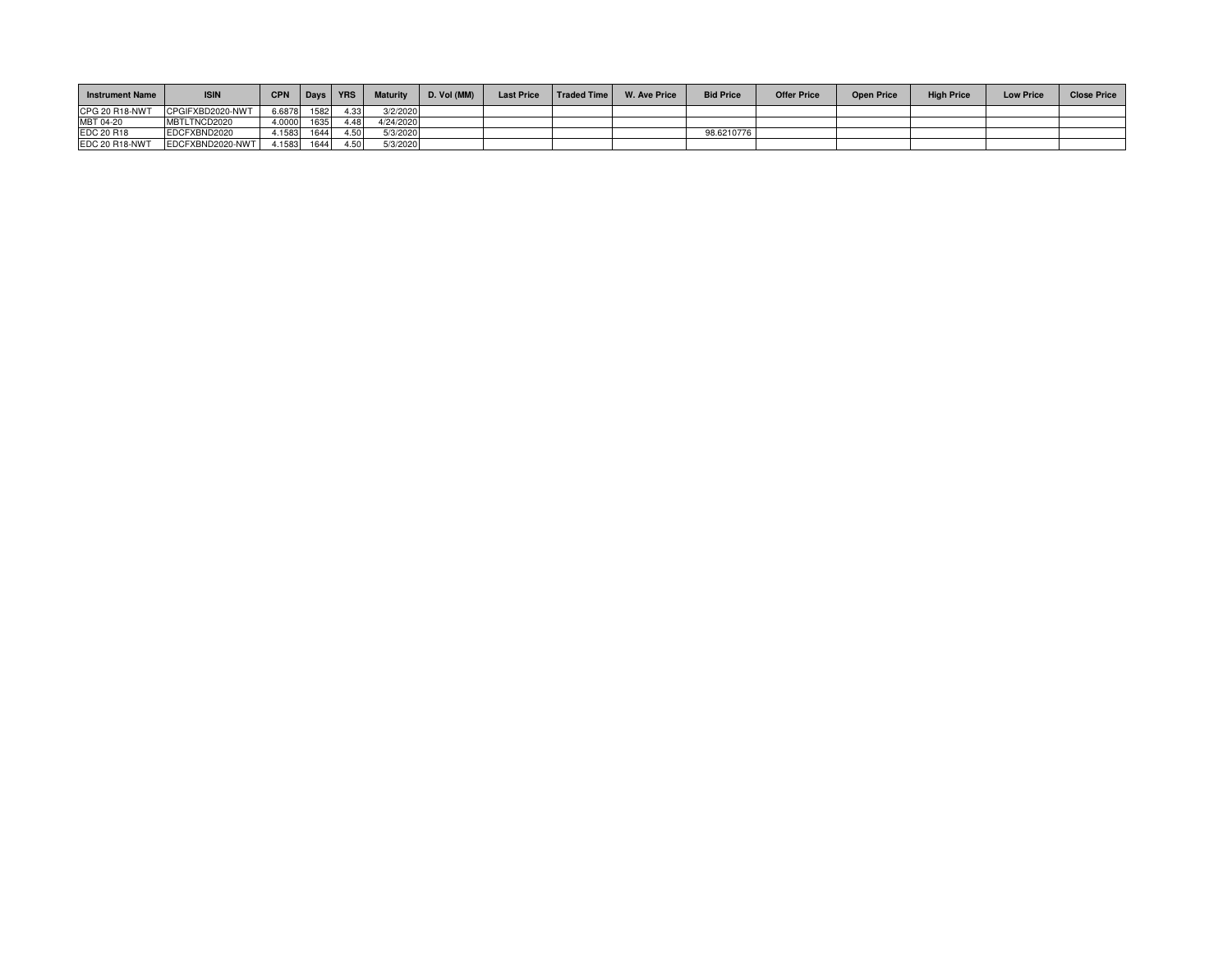| <b>Instrument Name</b> | <b>ISIN</b>      | <b>CPN</b> | Days | <b>YRS</b> | <b>Maturity</b> | D. Vol (MM) | <b>Last Price</b> | <b>Traded Time</b> | <b>W. Ave Price</b> | <b>Bid Price</b> | <b>Offer Price</b> | <b>Open Price</b> | <b>High Price</b> | <b>Low Price</b> | <b>Close Price</b> |
|------------------------|------------------|------------|------|------------|-----------------|-------------|-------------------|--------------------|---------------------|------------------|--------------------|-------------------|-------------------|------------------|--------------------|
| CPG 20 R18-NWT         | CPGIFXBD2020-NWT | 6.6878     | 1582 | 4.33       | 3/2/2020        |             |                   |                    |                     |                  |                    |                   |                   |                  |                    |
| MBT 04-20              | MBTLTNCD2020     | 4.0000     | 1635 | 4.48       | 4/24/2020       |             |                   |                    |                     |                  |                    |                   |                   |                  |                    |
| EDC 20 R18             | EDCFXBND2020     | 4.1583     | 1644 | 4.50       | 5/3/2020        |             |                   |                    |                     | 98.6210776       |                    |                   |                   |                  |                    |
| EDC 20 R18-NWT         | EDCFXBND2020-NWT | 4.1583     | 1644 | 4.50       | 5/3/2020        |             |                   |                    |                     |                  |                    |                   |                   |                  |                    |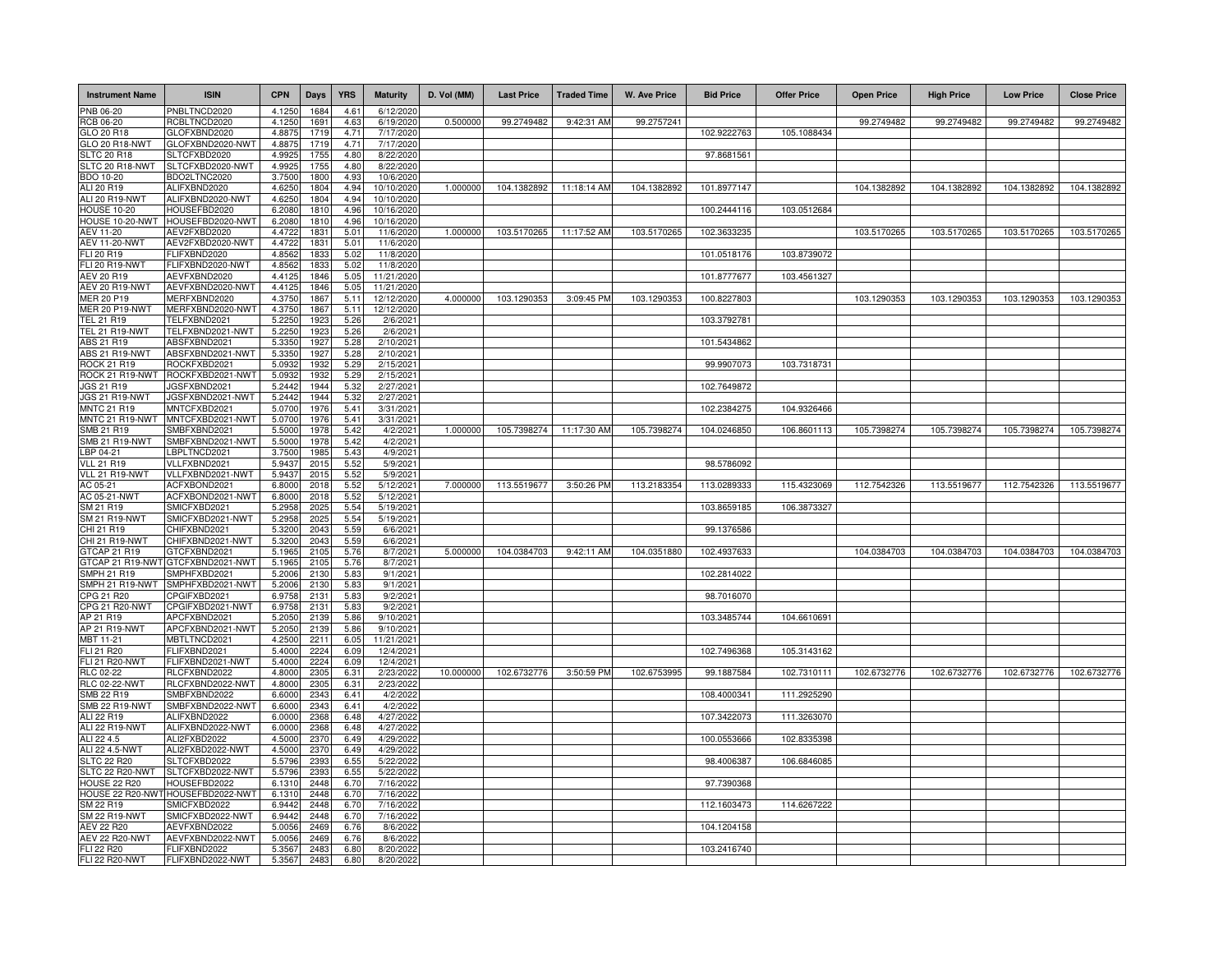| <b>Instrument Name</b>             | <b>ISIN</b>                       | <b>CPN</b>       | <b>Days</b>  | <b>YRS</b>   | <b>Maturity</b>         | D. Vol (MM) | <b>Last Price</b> | <b>Traded Time</b>      | <b>W. Ave Price</b> | <b>Bid Price</b> | <b>Offer Price</b> | <b>Open Price</b> | <b>High Price</b> | <b>Low Price</b> | <b>Close Price</b> |
|------------------------------------|-----------------------------------|------------------|--------------|--------------|-------------------------|-------------|-------------------|-------------------------|---------------------|------------------|--------------------|-------------------|-------------------|------------------|--------------------|
| PNB 06-20                          | PNBLTNCD2020                      | 4.1250           | 1684         | 4.61         | 6/12/2020               |             |                   |                         |                     |                  |                    |                   |                   |                  |                    |
| RCB 06-20                          | RCBLTNCD2020                      | 4.1250           | 1691         | 4.63         | 6/19/2020               | 0.500000    | 99.2749482        | 9:42:31 AM              | 99.2757241          |                  |                    | 99.2749482        | 99.2749482        | 99.2749482       | 99.2749482         |
| GLO 20 R18                         | GLOFXBND2020                      | 4.8875           | 1719         | 4.71         | 7/17/2020               |             |                   |                         |                     | 102.9222763      | 105.1088434        |                   |                   |                  |                    |
| GLO 20 R18-NWT                     | GLOFXBND2020-NWT                  | 4.8875           | 1719         | 4.71         | 7/17/2020               |             |                   |                         |                     |                  |                    |                   |                   |                  |                    |
| <b>SLTC 20 R18</b>                 | SLTCFXBD2020                      | 4.9925           | 1755         | 4.80         | 8/22/2020               |             |                   |                         |                     | 97.8681561       |                    |                   |                   |                  |                    |
| SLTC 20 R18-NWT                    | SLTCFXBD2020-NWT                  | 4.9925           | 1755         | 4.80<br>4.93 | 8/22/2020               |             |                   |                         |                     |                  |                    |                   |                   |                  |                    |
| BDO 10-20<br>ALI 20 R19            | BDO2LTNC2020<br>ALIFXBND2020      | 3.7500<br>4.6250 | 1800<br>1804 | 4.94         | 10/6/2020<br>10/10/2020 | 1.000000    | 104.1382892       | 11:18:14 AM             | 104.1382892         | 101.8977147      |                    | 104.1382892       | 104.1382892       | 104.1382892      | 104.1382892        |
| ALI 20 R19-NWT                     | ALIFXBND2020-NWT                  | 4.6250           | 1804         | 4.94         | 10/10/2020              |             |                   |                         |                     |                  |                    |                   |                   |                  |                    |
| <b>HOUSE 10-20</b>                 | HOUSEFBD2020                      | 6.2080           | 1810         | 4.96         | 10/16/2020              |             |                   |                         |                     | 100.2444116      | 103.0512684        |                   |                   |                  |                    |
| HOUSE 10-20-NWT                    | HOUSEFBD2020-NWT                  | 6.2080           | 1810         | 4.96         | 10/16/2020              |             |                   |                         |                     |                  |                    |                   |                   |                  |                    |
| AEV 11-20                          | AEV2FXBD2020                      | 4.4722           | 1831         | 5.01         | 11/6/2020               | 1.000000    | 103.5170265       | 11:17:52 AM             | 103.5170265         | 102.3633235      |                    | 103.5170265       | 103.5170265       | 103.5170265      | 103.5170265        |
| <b>AEV 11-20-NWT</b>               | AEV2FXBD2020-NWT                  | 4.4722           | 1831         | 5.01         | 11/6/202                |             |                   |                         |                     |                  |                    |                   |                   |                  |                    |
| FLI 20 R19                         | FLIFXBND2020                      | 4.8562           | 1833         | 5.02         | 11/8/202                |             |                   |                         |                     | 101.0518176      | 103.8739072        |                   |                   |                  |                    |
| FLI 20 R19-NWT<br>AEV 20 R19       | FLIFXBND2020-NWT<br>AEVFXBND2020  | 4.8562<br>4.4125 | 183<br>1846  | 5.02<br>5.05 | 11/8/202<br>11/21/2020  |             |                   |                         |                     | 101.8777677      | 103.4561327        |                   |                   |                  |                    |
| <b>AEV 20 R19-NWT</b>              | AEVFXBND2020-NWT                  | 4.4125           | 1846         | 5.05         | 11/21/2020              |             |                   |                         |                     |                  |                    |                   |                   |                  |                    |
| <b>MER 20 P19</b>                  | MERFXBND2020                      | 4.3750           | 1867         | 5.11         | 12/12/2020              | 4.000000    | 103.1290353       | 3:09:45 PM              | 103.1290353         | 100.8227803      |                    | 103.1290353       | 103.1290353       | 103.1290353      | 103.1290353        |
| <b>MER 20 P19-NWT</b>              | MERFXBND2020-NWT                  | 4.3750           | 1867         | 5.11         | 12/12/2020              |             |                   |                         |                     |                  |                    |                   |                   |                  |                    |
| TEL 21 R19                         | FELFXBND2021                      | 5.2250           | 1923         | 5.26         | 2/6/2021                |             |                   |                         |                     | 103.3792781      |                    |                   |                   |                  |                    |
| TEL 21 R19-NWT                     | TELFXBND2021-NWT                  | 5.2250           | 1923         | 5.26         | 2/6/202                 |             |                   |                         |                     |                  |                    |                   |                   |                  |                    |
| ABS 21 R19                         | ABSFXBND2021                      | 5.3350           | 1927         | 5.28         | 2/10/202                |             |                   |                         |                     | 101.5434862      |                    |                   |                   |                  |                    |
| ABS 21 R19-NWT                     | ABSFXBND2021-NWT                  | 5.3350           | 1927<br>1932 | 5.28<br>5.29 | 2/10/202                |             |                   |                         |                     |                  |                    |                   |                   |                  |                    |
| ROCK 21 R19<br>ROCK 21 R19-NWT     | ROCKFXBD2021<br>ROCKFXBD2021-NWT  | 5.0932<br>5.0932 | 1932         | 5.29         | 2/15/202<br>2/15/202    |             |                   |                         |                     | 99.9907073       | 103.7318731        |                   |                   |                  |                    |
| JGS 21 R19                         | <b>IGSFXBND2021</b>               | 5.2442           | 1944         | 5.32         | 2/27/202                |             |                   |                         |                     | 102.7649872      |                    |                   |                   |                  |                    |
| JGS 21 R19-NWT                     | JGSFXBND2021-NWT                  | 5.2442           | 1944         | 5.32         | 2/27/202                |             |                   |                         |                     |                  |                    |                   |                   |                  |                    |
| <b>MNTC 21 R19</b>                 | MNTCFXBD2021                      | 5.0700           | 1976         | 5.41         | 3/31/202                |             |                   |                         |                     | 102.2384275      | 104.9326466        |                   |                   |                  |                    |
| MNTC 21 R19-NWT                    | MNTCFXBD2021-NWT                  | 5.0700           | 1976         | 5.41         | 3/31/202                |             |                   |                         |                     |                  |                    |                   |                   |                  |                    |
| SMB 21 R19                         | SMBFXBND2021                      | 5.5000           | 1978         | 5.42         | 4/2/202                 | 1.000000    |                   | 105.7398274 11:17:30 AM | 105.7398274         | 104.0246850      | 106.8601113        | 105.7398274       | 105.7398274       | 105.7398274      | 105.7398274        |
| SMB 21 R19-NWT                     | SMBFXBND2021-NWT                  | 5.5000           | 1978         | 5.42         | 4/2/202                 |             |                   |                         |                     |                  |                    |                   |                   |                  |                    |
| LBP 04-21<br><b>VLL 21 R19</b>     | LBPLTNCD2021<br>VLLFXBND2021      | 3.7500<br>5.9437 | 1985<br>201  | 5.43<br>5.52 | 4/9/202<br>5/9/202      |             |                   |                         |                     | 98.5786092       |                    |                   |                   |                  |                    |
| VLL 21 R19-NWT                     | VLLFXBND2021-NWT                  | 5.9437           | 2015         | 5.52         | 5/9/2021                |             |                   |                         |                     |                  |                    |                   |                   |                  |                    |
| AC 05-21                           | ACFXBOND2021                      | 6.8000           | 2018         | 5.52         | 5/12/2021               | 7.000000    | 113.5519677       | 3:50:26 PM              | 113.2183354         | 113.0289333      | 115.4323069        | 112.7542326       | 113.5519677       | 112.7542326      | 113.5519677        |
| AC 05-21-NWT                       | ACFXBOND2021-NWT                  | 6.8000           | 2018         | 5.52         | 5/12/202                |             |                   |                         |                     |                  |                    |                   |                   |                  |                    |
| SM 21 R19                          | SMICFXBD2021                      | 5.2958           | 2025         | 5.54         | 5/19/202                |             |                   |                         |                     | 103.8659185      | 106.3873327        |                   |                   |                  |                    |
| SM 21 R19-NWT                      | SMICFXBD2021-NWT                  | 5.2958           | 2025         | 5.54         | 5/19/202                |             |                   |                         |                     |                  |                    |                   |                   |                  |                    |
| CHI 21 R19                         | CHIFXBND2021                      | 5.3200           | 2043         | 5.59         | 6/6/202                 |             |                   |                         |                     | 99.1376586       |                    |                   |                   |                  |                    |
| CHI 21 R19-NWT<br>GTCAP 21 R19     | CHIFXBND2021-NWT<br>GTCFXBND2021  | 5.3200<br>5.1965 | 2043<br>2105 | 5.59<br>5.76 | 6/6/202<br>8/7/202      | 5.000000    | 104.0384703       | 9:42:11 AM              | 104.0351880         | 102.4937633      |                    | 104.0384703       | 104.0384703       | 104.0384703      | 104.0384703        |
| GTCAP 21 R19-NWT                   | GTCFXBND2021-NWT                  | 5.1965           | 2105         | 5.76         | 8/7/2021                |             |                   |                         |                     |                  |                    |                   |                   |                  |                    |
| SMPH 21 R19                        | SMPHFXBD202 <sup>.</sup>          | 5.2006           | 2130         | 5.83         | 9/1/2021                |             |                   |                         |                     | 102.2814022      |                    |                   |                   |                  |                    |
| SMPH 21 R19-NWT                    | SMPHFXBD2021-NWT                  | 5.2006           | 2130         | 5.83         | 9/1/202                 |             |                   |                         |                     |                  |                    |                   |                   |                  |                    |
| CPG 21 R20                         | CPGIFXBD2021                      | 6.9758           | 2131         | 5.83         | 9/2/202                 |             |                   |                         |                     | 98.7016070       |                    |                   |                   |                  |                    |
| CPG 21 R20-NWT                     | CPGIFXBD2021-NWT                  | 6.9758           | 2131         | 5.83         | 9/2/202                 |             |                   |                         |                     |                  |                    |                   |                   |                  |                    |
| AP 21 R19                          | APCFXBND2021                      | 5.2050           | 2139         | 5.86         | 9/10/202                |             |                   |                         |                     | 103.3485744      | 104.6610691        |                   |                   |                  |                    |
| AP 21 R19-NWT<br>MBT 11-21         | APCFXBND2021-NWT<br>MBTLTNCD2021  | 5.2050<br>4.2500 | 2139<br>2211 | 5.86<br>6.05 | 9/10/202<br>11/21/202   |             |                   |                         |                     |                  |                    |                   |                   |                  |                    |
| FLI 21 R20                         | FLIFXBND2021                      | 5.4000           | 2224         | 6.09         | 12/4/202                |             |                   |                         |                     | 102.7496368      | 105.3143162        |                   |                   |                  |                    |
| FLI 21 R20-NWT                     | FLIFXBND2021-NWT                  | 5.4000           | 2224         | 6.09         | 12/4/202                |             |                   |                         |                     |                  |                    |                   |                   |                  |                    |
| RLC 02-22                          | RLCFXBND2022                      | 4.8000           | 2305         | 6.31         | 2/23/2022               | 10.000000   | 102.6732776       | 3:50:59 PM              | 102.6753995         | 99.1887584       | 102.7310111        | 102.6732776       | 102.6732776       | 102.6732776      | 102.6732776        |
| <b>RLC 02-22-NWT</b>               | RLCFXBND2022-NWT                  | 4.8000           | 2305         | 6.31         | 2/23/2022               |             |                   |                         |                     |                  |                    |                   |                   |                  |                    |
| SMB 22 R19                         | SMBFXBND2022                      | 6.6000           | 2343         | 6.41         | 4/2/2022                |             |                   |                         |                     | 108.4000341      | 111.2925290        |                   |                   |                  |                    |
| <b>SMB 22 R19-NWT</b>              | SMBFXBND2022-NWT                  | 6.6000           | 2343         | 6.41         | 4/2/202                 |             |                   |                         |                     |                  |                    |                   |                   |                  |                    |
| ALI 22 R19<br>ALI 22 R19-NWT       | ALIFXBND2022<br>ALIFXBND2022-NWT  | 6.0000<br>6.0000 | 2368<br>2368 | 6.48<br>6.48 | 4/27/202<br>4/27/202    |             |                   |                         |                     | 107.3422073      | 111.3263070        |                   |                   |                  |                    |
| ALI 22 4.5                         | ALI2FXBD2022                      | 4.5000           | 2370         | 6.49         | 4/29/202                |             |                   |                         |                     | 100.0553666      | 102.8335398        |                   |                   |                  |                    |
| ALI 22 4.5-NWT                     | ALI2FXBD2022-NWT                  | 4.5000           | 2370         | 6.49         | 4/29/202                |             |                   |                         |                     |                  |                    |                   |                   |                  |                    |
| <b>SLTC 22 R20</b>                 | SLTCFXBD2022                      | 5.5796           | 2393         | 6.55         | 5/22/2022               |             |                   |                         |                     | 98.4006387       | 106.6846085        |                   |                   |                  |                    |
| SLTC 22 R20-NWT                    | SLTCFXBD2022-NWT                  | 5.5796           | 2393         | 6.55         | 5/22/202                |             |                   |                         |                     |                  |                    |                   |                   |                  |                    |
| HOUSE 22 R20                       | HOUSEFBD2022                      | 6.1310           | 2448         | 6.70         | 7/16/202                |             |                   |                         |                     | 97.7390368       |                    |                   |                   |                  |                    |
|                                    | HOUSE 22 R20-NWT HOUSEFBD2022-NWT | 6.1310           | 2448         | 6.70         | 7/16/202                |             |                   |                         |                     |                  |                    |                   |                   |                  |                    |
| SM 22 R19                          | SMICFXBD2022                      | 6.9442           | 2448         | 6.70         | 7/16/202                |             |                   |                         |                     | 112.1603473      | 114.6267222        |                   |                   |                  |                    |
| <b>SM 22 R19-NWT</b><br>AEV 22 R20 | SMICFXBD2022-NWT<br>AEVFXBND2022  | 6.9442<br>5.0056 | 2448<br>2469 | 6.70<br>6.76 | 7/16/202<br>8/6/202     |             |                   |                         |                     | 104.1204158      |                    |                   |                   |                  |                    |
| <b>AEV 22 R20-NWT</b>              | AEVFXBND2022-NWT                  | 5.0056           | 2469         | 6.76         | 8/6/202                 |             |                   |                         |                     |                  |                    |                   |                   |                  |                    |
| FLI 22 R20                         | FLIFXBND2022                      | 5.3567           | 2483         | 6.80         | 8/20/2022               |             |                   |                         |                     | 103.2416740      |                    |                   |                   |                  |                    |
| <b>FLI 22 R20-NWT</b>              | FLIFXBND2022-NWT                  | 5.3567           | 2483         | 6.80         | 8/20/2022               |             |                   |                         |                     |                  |                    |                   |                   |                  |                    |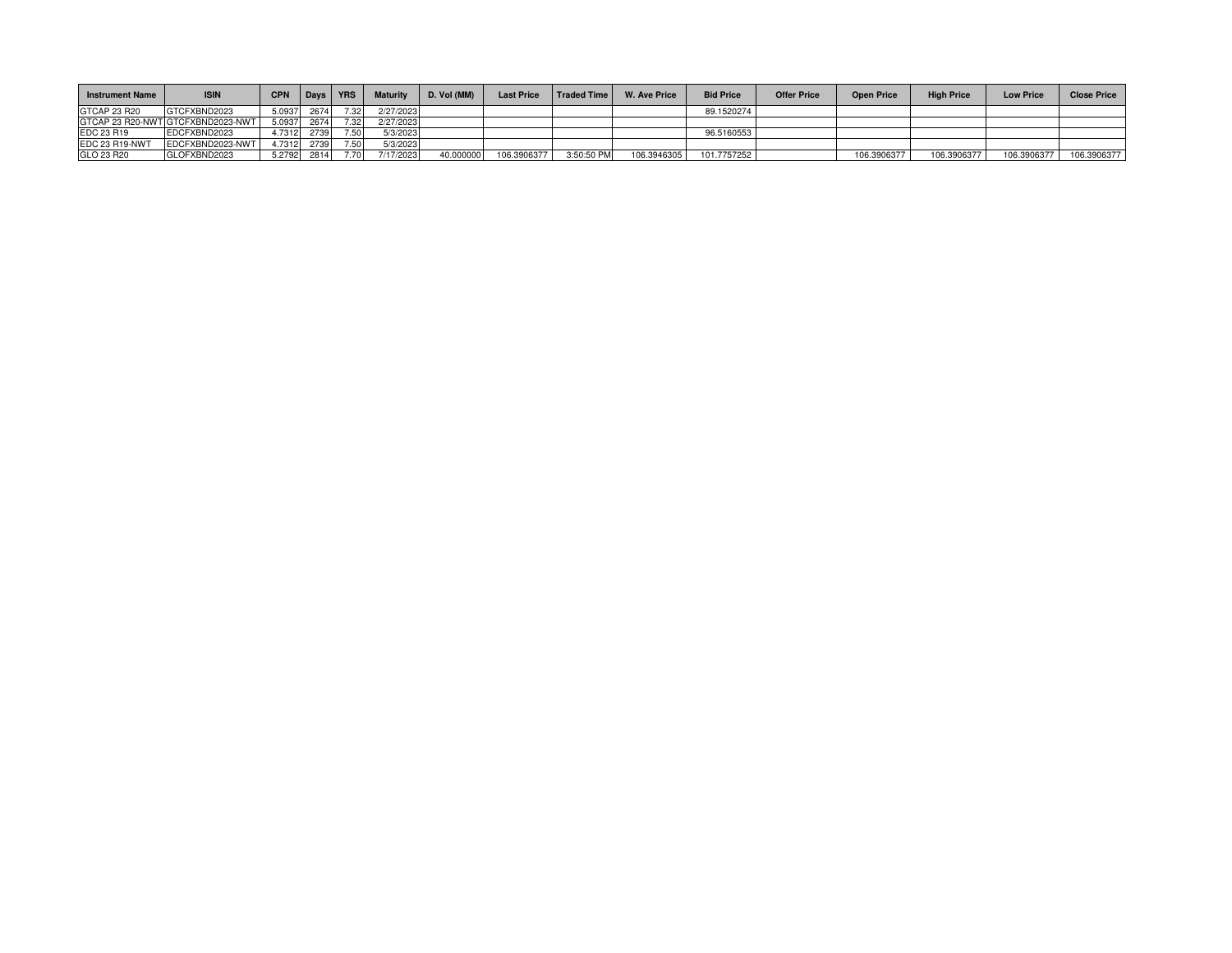| <b>Instrument Name</b> | <b>ISIN</b>                       | <b>CPN</b> | <b>Davs</b> | <b>YRS</b>        | <b>Maturity</b> | D. Vol (MM) | <b>Last Price</b> | <b>Traded Time</b> | <b>W. Ave Price</b> | <b>Bid Price</b> | <b>Offer Price</b> | <b>Open Price</b> | <b>High Price</b> | <b>Low Price</b> | <b>Close Price</b> |
|------------------------|-----------------------------------|------------|-------------|-------------------|-----------------|-------------|-------------------|--------------------|---------------------|------------------|--------------------|-------------------|-------------------|------------------|--------------------|
| GTCAP 23 R20           | GTCFXBND2023                      | 5.0937     | 2674        | 7.32.             | 2/27/2023       |             |                   |                    |                     | 89.1520274       |                    |                   |                   |                  |                    |
|                        | GTCAP 23 R20-NWT GTCFXBND2023-NWT | 5.0937     | 2674        | 7.32 <sub>1</sub> | 2/27/2023       |             |                   |                    |                     |                  |                    |                   |                   |                  |                    |
| EDC 23 R19             | EDCFXBND2023                      | 4.7312     | 2739        | <b>750</b>        | 5/3/2023        |             |                   |                    |                     | 96.5160553       |                    |                   |                   |                  |                    |
| EDC 23 R19-NWT         | EDCFXBND2023-NWT                  | 4.7312     | 2739        | 750               | 5/3/2023        |             |                   |                    |                     |                  |                    |                   |                   |                  |                    |
| GLO 23 R20             | GLOFXBND2023                      | 5.2792     | 2814        |                   | 7/17/2023       | 40.000000   | 106.3906377       | 3:50:50 PM         | 106.3946305         | 101.7757252      |                    | 106.3906377       | 106.3906377       | 106.3906377      | 106.3906377        |